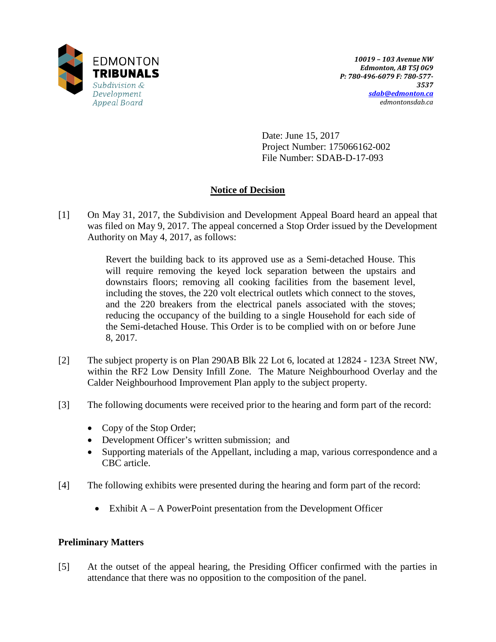

Date: June 15, 2017 Project Number: 175066162-002 File Number: SDAB-D-17-093

# **Notice of Decision**

[1] On May 31, 2017, the Subdivision and Development Appeal Board heard an appeal that was filed on May 9, 2017. The appeal concerned a Stop Order issued by the Development Authority on May 4, 2017, as follows:

> Revert the building back to its approved use as a Semi-detached House. This will require removing the keyed lock separation between the upstairs and downstairs floors; removing all cooking facilities from the basement level, including the stoves, the 220 volt electrical outlets which connect to the stoves, and the 220 breakers from the electrical panels associated with the stoves; reducing the occupancy of the building to a single Household for each side of the Semi-detached House. This Order is to be complied with on or before June 8, 2017.

- [2] The subject property is on Plan 290AB Blk 22 Lot 6, located at 12824 123A Street NW, within the RF2 Low Density Infill Zone. The Mature Neighbourhood Overlay and the Calder Neighbourhood Improvement Plan apply to the subject property.
- [3] The following documents were received prior to the hearing and form part of the record:
	- Copy of the Stop Order;
	- Development Officer's written submission; and
	- Supporting materials of the Appellant, including a map, various correspondence and a CBC article.
- [4] The following exhibits were presented during the hearing and form part of the record:
	- Exhibit  $A A$  PowerPoint presentation from the Development Officer

## **Preliminary Matters**

[5] At the outset of the appeal hearing, the Presiding Officer confirmed with the parties in attendance that there was no opposition to the composition of the panel.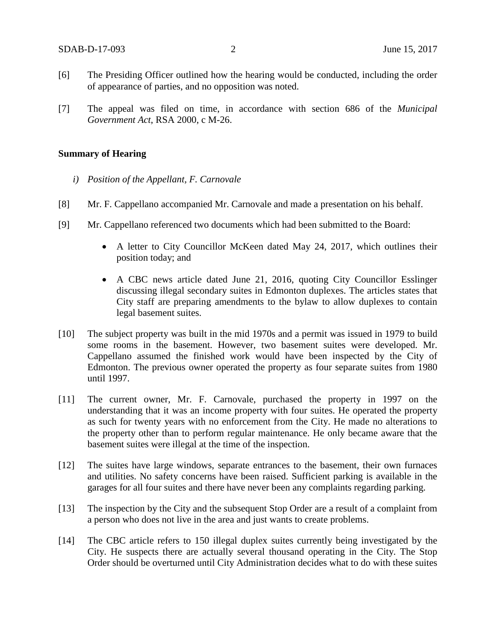- [6] The Presiding Officer outlined how the hearing would be conducted, including the order of appearance of parties, and no opposition was noted.
- [7] The appeal was filed on time, in accordance with section 686 of the *Municipal Government Act*, RSA 2000, c M-26.

### **Summary of Hearing**

- *i) Position of the Appellant, F. Carnovale*
- [8] Mr. F. Cappellano accompanied Mr. Carnovale and made a presentation on his behalf.
- [9] Mr. Cappellano referenced two documents which had been submitted to the Board:
	- A letter to City Councillor McKeen dated May 24, 2017, which outlines their position today; and
	- A CBC news article dated June 21, 2016, quoting City Councillor Esslinger discussing illegal secondary suites in Edmonton duplexes. The articles states that City staff are preparing amendments to the bylaw to allow duplexes to contain legal basement suites.
- [10] The subject property was built in the mid 1970s and a permit was issued in 1979 to build some rooms in the basement. However, two basement suites were developed. Mr. Cappellano assumed the finished work would have been inspected by the City of Edmonton. The previous owner operated the property as four separate suites from 1980 until 1997.
- [11] The current owner, Mr. F. Carnovale, purchased the property in 1997 on the understanding that it was an income property with four suites. He operated the property as such for twenty years with no enforcement from the City. He made no alterations to the property other than to perform regular maintenance. He only became aware that the basement suites were illegal at the time of the inspection.
- [12] The suites have large windows, separate entrances to the basement, their own furnaces and utilities. No safety concerns have been raised. Sufficient parking is available in the garages for all four suites and there have never been any complaints regarding parking.
- [13] The inspection by the City and the subsequent Stop Order are a result of a complaint from a person who does not live in the area and just wants to create problems.
- [14] The CBC article refers to 150 illegal duplex suites currently being investigated by the City. He suspects there are actually several thousand operating in the City. The Stop Order should be overturned until City Administration decides what to do with these suites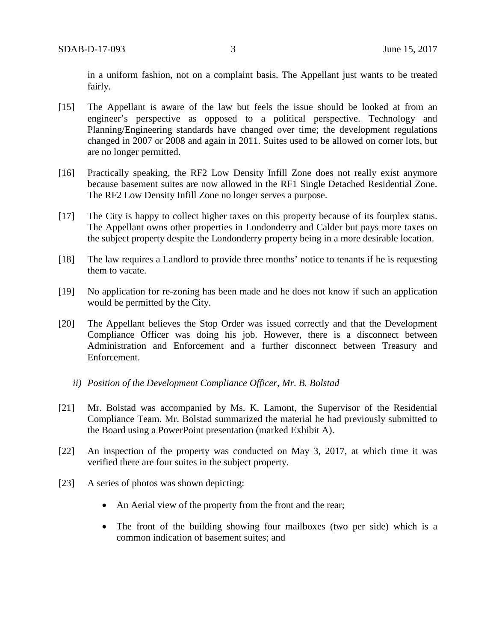in a uniform fashion, not on a complaint basis. The Appellant just wants to be treated fairly.

- [15] The Appellant is aware of the law but feels the issue should be looked at from an engineer's perspective as opposed to a political perspective. Technology and Planning/Engineering standards have changed over time; the development regulations changed in 2007 or 2008 and again in 2011. Suites used to be allowed on corner lots, but are no longer permitted.
- [16] Practically speaking, the RF2 Low Density Infill Zone does not really exist anymore because basement suites are now allowed in the RF1 Single Detached Residential Zone. The RF2 Low Density Infill Zone no longer serves a purpose.
- [17] The City is happy to collect higher taxes on this property because of its fourplex status. The Appellant owns other properties in Londonderry and Calder but pays more taxes on the subject property despite the Londonderry property being in a more desirable location.
- [18] The law requires a Landlord to provide three months' notice to tenants if he is requesting them to vacate.
- [19] No application for re-zoning has been made and he does not know if such an application would be permitted by the City.
- [20] The Appellant believes the Stop Order was issued correctly and that the Development Compliance Officer was doing his job. However, there is a disconnect between Administration and Enforcement and a further disconnect between Treasury and Enforcement.
	- *ii) Position of the Development Compliance Officer, Mr. B. Bolstad*
- [21] Mr. Bolstad was accompanied by Ms. K. Lamont, the Supervisor of the Residential Compliance Team. Mr. Bolstad summarized the material he had previously submitted to the Board using a PowerPoint presentation (marked Exhibit A).
- [22] An inspection of the property was conducted on May 3, 2017, at which time it was verified there are four suites in the subject property.
- [23] A series of photos was shown depicting:
	- An Aerial view of the property from the front and the rear;
	- The front of the building showing four mailboxes (two per side) which is a common indication of basement suites; and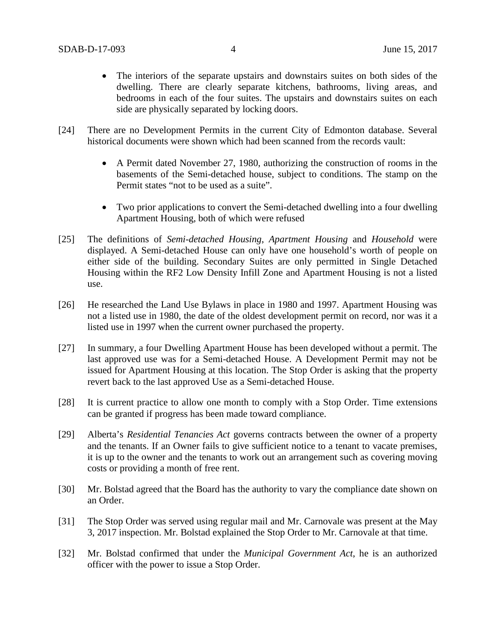- The interiors of the separate upstairs and downstairs suites on both sides of the dwelling. There are clearly separate kitchens, bathrooms, living areas, and bedrooms in each of the four suites. The upstairs and downstairs suites on each side are physically separated by locking doors.
- [24] There are no Development Permits in the current City of Edmonton database. Several historical documents were shown which had been scanned from the records vault:
	- A Permit dated November 27, 1980, authorizing the construction of rooms in the basements of the Semi-detached house, subject to conditions. The stamp on the Permit states "not to be used as a suite".
	- Two prior applications to convert the Semi-detached dwelling into a four dwelling Apartment Housing, both of which were refused
- [25] The definitions of *Semi-detached Housing*, *Apartment Housing* and *Household* were displayed. A Semi-detached House can only have one household's worth of people on either side of the building. Secondary Suites are only permitted in Single Detached Housing within the RF2 Low Density Infill Zone and Apartment Housing is not a listed use.
- [26] He researched the Land Use Bylaws in place in 1980 and 1997. Apartment Housing was not a listed use in 1980, the date of the oldest development permit on record, nor was it a listed use in 1997 when the current owner purchased the property.
- [27] In summary, a four Dwelling Apartment House has been developed without a permit. The last approved use was for a Semi-detached House. A Development Permit may not be issued for Apartment Housing at this location. The Stop Order is asking that the property revert back to the last approved Use as a Semi-detached House.
- [28] It is current practice to allow one month to comply with a Stop Order. Time extensions can be granted if progress has been made toward compliance.
- [29] Alberta's *Residential Tenancies Act* governs contracts between the owner of a property and the tenants. If an Owner fails to give sufficient notice to a tenant to vacate premises, it is up to the owner and the tenants to work out an arrangement such as covering moving costs or providing a month of free rent.
- [30] Mr. Bolstad agreed that the Board has the authority to vary the compliance date shown on an Order.
- [31] The Stop Order was served using regular mail and Mr. Carnovale was present at the May 3, 2017 inspection. Mr. Bolstad explained the Stop Order to Mr. Carnovale at that time.
- [32] Mr. Bolstad confirmed that under the *Municipal Government Act*, he is an authorized officer with the power to issue a Stop Order.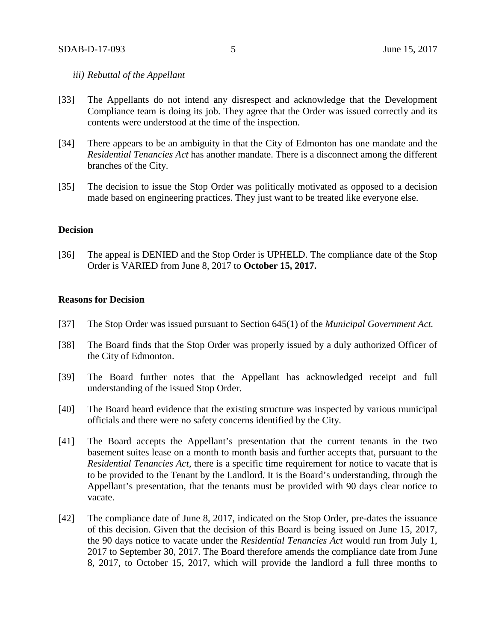## *iii) Rebuttal of the Appellant*

- [33] The Appellants do not intend any disrespect and acknowledge that the Development Compliance team is doing its job. They agree that the Order was issued correctly and its contents were understood at the time of the inspection.
- [34] There appears to be an ambiguity in that the City of Edmonton has one mandate and the *Residential Tenancies Act* has another mandate. There is a disconnect among the different branches of the City.
- [35] The decision to issue the Stop Order was politically motivated as opposed to a decision made based on engineering practices. They just want to be treated like everyone else.

#### **Decision**

[36] The appeal is DENIED and the Stop Order is UPHELD. The compliance date of the Stop Order is VARIED from June 8, 2017 to **October 15, 2017.**

## **Reasons for Decision**

- [37] The Stop Order was issued pursuant to Section 645(1) of the *Municipal Government Act.*
- [38] The Board finds that the Stop Order was properly issued by a duly authorized Officer of the City of Edmonton.
- [39] The Board further notes that the Appellant has acknowledged receipt and full understanding of the issued Stop Order.
- [40] The Board heard evidence that the existing structure was inspected by various municipal officials and there were no safety concerns identified by the City.
- [41] The Board accepts the Appellant's presentation that the current tenants in the two basement suites lease on a month to month basis and further accepts that, pursuant to the *Residential Tenancies Act*, there is a specific time requirement for notice to vacate that is to be provided to the Tenant by the Landlord. It is the Board's understanding, through the Appellant's presentation, that the tenants must be provided with 90 days clear notice to vacate.
- [42] The compliance date of June 8, 2017, indicated on the Stop Order, pre-dates the issuance of this decision. Given that the decision of this Board is being issued on June 15, 2017, the 90 days notice to vacate under the *Residential Tenancies Act* would run from July 1, 2017 to September 30, 2017. The Board therefore amends the compliance date from June 8, 2017, to October 15, 2017, which will provide the landlord a full three months to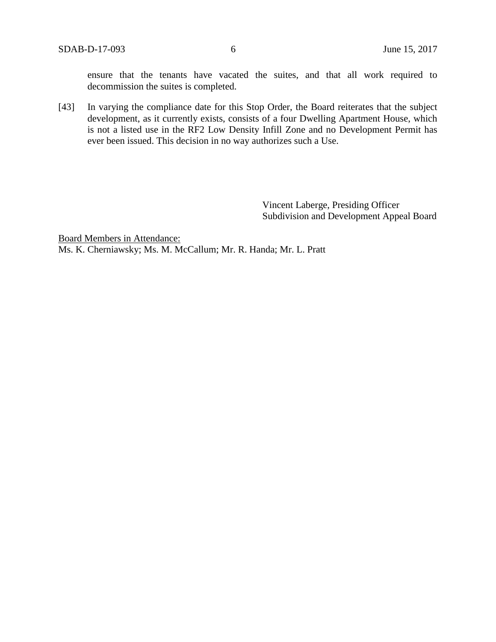ensure that the tenants have vacated the suites, and that all work required to decommission the suites is completed.

[43] In varying the compliance date for this Stop Order, the Board reiterates that the subject development, as it currently exists, consists of a four Dwelling Apartment House, which is not a listed use in the RF2 Low Density Infill Zone and no Development Permit has ever been issued. This decision in no way authorizes such a Use.

> Vincent Laberge, Presiding Officer Subdivision and Development Appeal Board

Board Members in Attendance: Ms. K. Cherniawsky; Ms. M. McCallum; Mr. R. Handa; Mr. L. Pratt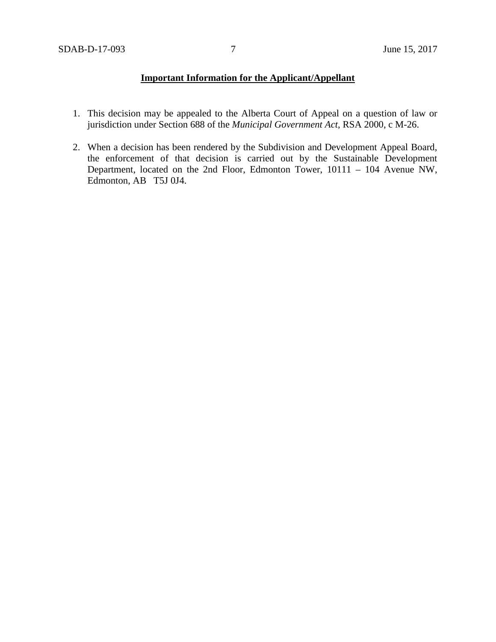# **Important Information for the Applicant/Appellant**

- 1. This decision may be appealed to the Alberta Court of Appeal on a question of law or jurisdiction under Section 688 of the *Municipal Government Act*, RSA 2000, c M-26.
- 2. When a decision has been rendered by the Subdivision and Development Appeal Board, the enforcement of that decision is carried out by the Sustainable Development Department, located on the 2nd Floor, Edmonton Tower, 10111 – 104 Avenue NW, Edmonton, AB T5J 0J4.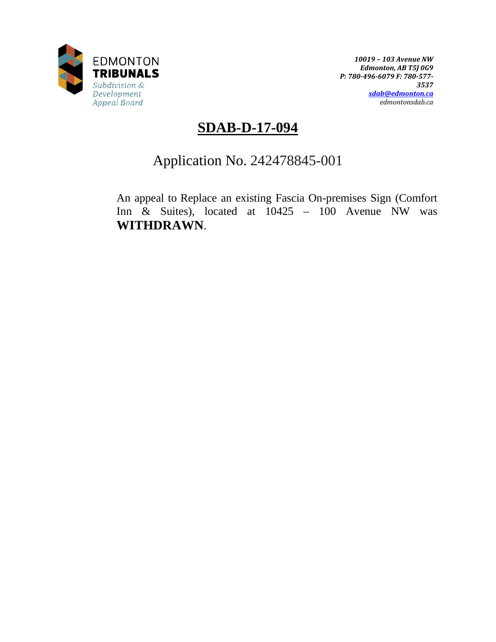

*10019 – 103 Avenue NW Edmonton, AB T5J 0G9 P: 780-496-6079 F: 780-577- 3537 [sdab@edmonton.ca](mailto:sdab@edmonton.ca) edmontonsdab.ca*

# **SDAB-D-17-094**

# Application No. 242478845-001

An appeal to Replace an existing Fascia On-premises Sign (Comfort Inn  $\&$  Suites), located at  $10425 - 100$  Avenue NW was **WITHDRAWN**.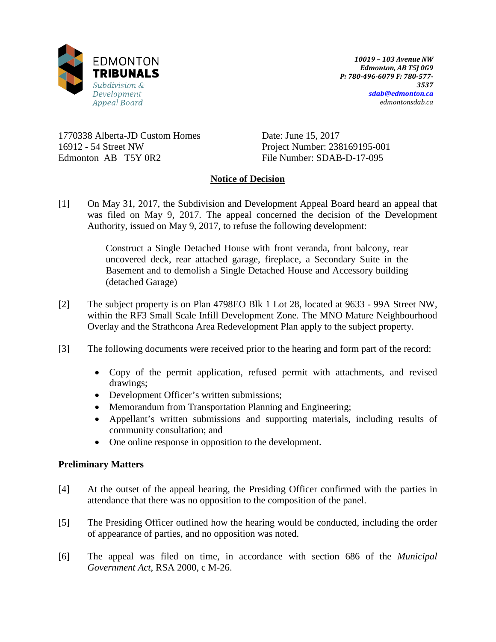

1770338 Alberta-JD Custom Homes 16912 - 54 Street NW Edmonton AB T5Y 0R2

Date: June 15, 2017 Project Number: 238169195-001 File Number: SDAB-D-17-095

# **Notice of Decision**

[1] On May 31, 2017, the Subdivision and Development Appeal Board heard an appeal that was filed on May 9, 2017. The appeal concerned the decision of the Development Authority, issued on May 9, 2017, to refuse the following development:

> Construct a Single Detached House with front veranda, front balcony, rear uncovered deck, rear attached garage, fireplace, a Secondary Suite in the Basement and to demolish a Single Detached House and Accessory building (detached Garage)

- [2] The subject property is on Plan 4798EO Blk 1 Lot 28, located at 9633 99A Street NW, within the RF3 Small Scale Infill Development Zone. The MNO Mature Neighbourhood Overlay and the Strathcona Area Redevelopment Plan apply to the subject property.
- [3] The following documents were received prior to the hearing and form part of the record:
	- Copy of the permit application, refused permit with attachments, and revised drawings;
	- Development Officer's written submissions;
	- Memorandum from Transportation Planning and Engineering;
	- Appellant's written submissions and supporting materials, including results of community consultation; and
	- One online response in opposition to the development.

# **Preliminary Matters**

- [4] At the outset of the appeal hearing, the Presiding Officer confirmed with the parties in attendance that there was no opposition to the composition of the panel.
- [5] The Presiding Officer outlined how the hearing would be conducted, including the order of appearance of parties, and no opposition was noted.
- [6] The appeal was filed on time, in accordance with section 686 of the *Municipal Government Act*, RSA 2000, c M-26.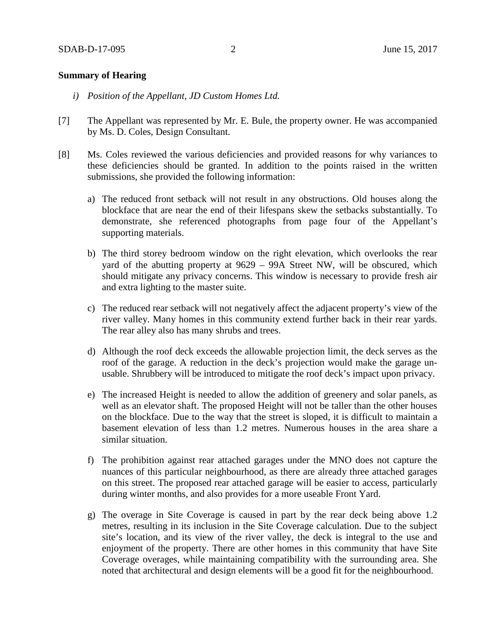## **Summary of Hearing**

- *i) Position of the Appellant, JD Custom Homes Ltd.*
- [7] The Appellant was represented by Mr. E. Bule, the property owner. He was accompanied by Ms. D. Coles, Design Consultant.
- [8] Ms. Coles reviewed the various deficiencies and provided reasons for why variances to these deficiencies should be granted. In addition to the points raised in the written submissions, she provided the following information:
	- a) The reduced front setback will not result in any obstructions. Old houses along the blockface that are near the end of their lifespans skew the setbacks substantially. To demonstrate, she referenced photographs from page four of the Appellant's supporting materials.
	- b) The third storey bedroom window on the right elevation, which overlooks the rear yard of the abutting property at 9629 – 99A Street NW, will be obscured, which should mitigate any privacy concerns. This window is necessary to provide fresh air and extra lighting to the master suite.
	- c) The reduced rear setback will not negatively affect the adjacent property's view of the river valley. Many homes in this community extend further back in their rear yards. The rear alley also has many shrubs and trees.
	- d) Although the roof deck exceeds the allowable projection limit, the deck serves as the roof of the garage. A reduction in the deck's projection would make the garage unusable. Shrubbery will be introduced to mitigate the roof deck's impact upon privacy.
	- e) The increased Height is needed to allow the addition of greenery and solar panels, as well as an elevator shaft. The proposed Height will not be taller than the other houses on the blockface. Due to the way that the street is sloped, it is difficult to maintain a basement elevation of less than 1.2 metres. Numerous houses in the area share a similar situation.
	- f) The prohibition against rear attached garages under the MNO does not capture the nuances of this particular neighbourhood, as there are already three attached garages on this street. The proposed rear attached garage will be easier to access, particularly during winter months, and also provides for a more useable Front Yard.
	- g) The overage in Site Coverage is caused in part by the rear deck being above 1.2 metres, resulting in its inclusion in the Site Coverage calculation. Due to the subject site's location, and its view of the river valley, the deck is integral to the use and enjoyment of the property. There are other homes in this community that have Site Coverage overages, while maintaining compatibility with the surrounding area. She noted that architectural and design elements will be a good fit for the neighbourhood.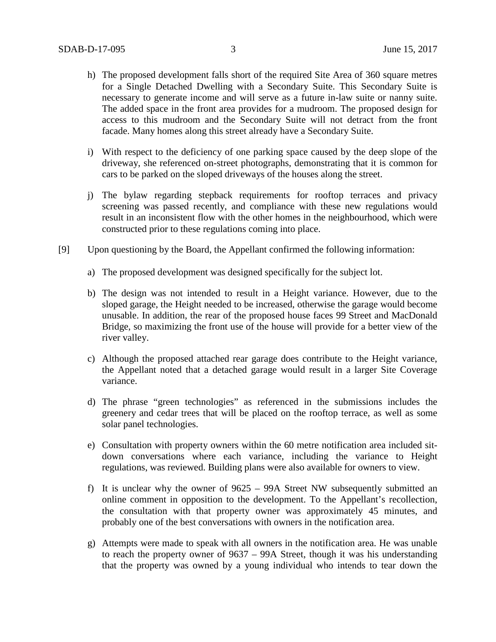- h) The proposed development falls short of the required Site Area of 360 square metres for a Single Detached Dwelling with a Secondary Suite. This Secondary Suite is necessary to generate income and will serve as a future in-law suite or nanny suite. The added space in the front area provides for a mudroom. The proposed design for access to this mudroom and the Secondary Suite will not detract from the front facade. Many homes along this street already have a Secondary Suite.
- i) With respect to the deficiency of one parking space caused by the deep slope of the driveway, she referenced on-street photographs, demonstrating that it is common for cars to be parked on the sloped driveways of the houses along the street.
- j) The bylaw regarding stepback requirements for rooftop terraces and privacy screening was passed recently, and compliance with these new regulations would result in an inconsistent flow with the other homes in the neighbourhood, which were constructed prior to these regulations coming into place.
- [9] Upon questioning by the Board, the Appellant confirmed the following information:
	- a) The proposed development was designed specifically for the subject lot.
	- b) The design was not intended to result in a Height variance. However, due to the sloped garage, the Height needed to be increased, otherwise the garage would become unusable. In addition, the rear of the proposed house faces 99 Street and MacDonald Bridge, so maximizing the front use of the house will provide for a better view of the river valley.
	- c) Although the proposed attached rear garage does contribute to the Height variance, the Appellant noted that a detached garage would result in a larger Site Coverage variance.
	- d) The phrase "green technologies" as referenced in the submissions includes the greenery and cedar trees that will be placed on the rooftop terrace, as well as some solar panel technologies.
	- e) Consultation with property owners within the 60 metre notification area included sitdown conversations where each variance, including the variance to Height regulations, was reviewed. Building plans were also available for owners to view.
	- f) It is unclear why the owner of 9625 99A Street NW subsequently submitted an online comment in opposition to the development. To the Appellant's recollection, the consultation with that property owner was approximately 45 minutes, and probably one of the best conversations with owners in the notification area.
	- g) Attempts were made to speak with all owners in the notification area. He was unable to reach the property owner of 9637 – 99A Street, though it was his understanding that the property was owned by a young individual who intends to tear down the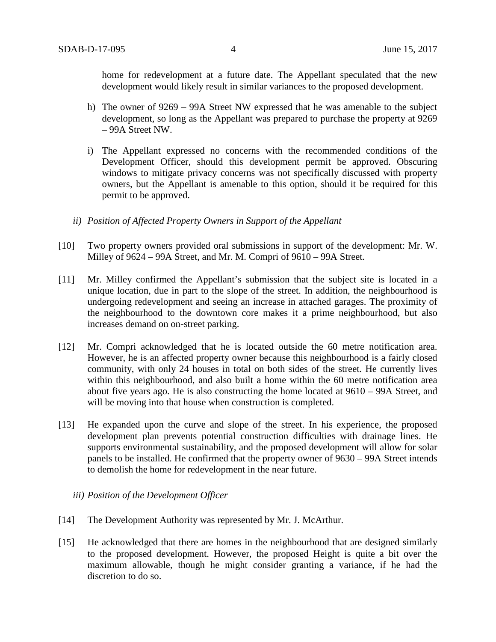home for redevelopment at a future date. The Appellant speculated that the new development would likely result in similar variances to the proposed development.

- h) The owner of 9269 99A Street NW expressed that he was amenable to the subject development, so long as the Appellant was prepared to purchase the property at 9269 – 99A Street NW.
- i) The Appellant expressed no concerns with the recommended conditions of the Development Officer, should this development permit be approved. Obscuring windows to mitigate privacy concerns was not specifically discussed with property owners, but the Appellant is amenable to this option, should it be required for this permit to be approved.
- *ii) Position of Affected Property Owners in Support of the Appellant*
- [10] Two property owners provided oral submissions in support of the development: Mr. W. Milley of 9624 – 99A Street, and Mr. M. Compri of 9610 – 99A Street.
- [11] Mr. Milley confirmed the Appellant's submission that the subject site is located in a unique location, due in part to the slope of the street. In addition, the neighbourhood is undergoing redevelopment and seeing an increase in attached garages. The proximity of the neighbourhood to the downtown core makes it a prime neighbourhood, but also increases demand on on-street parking.
- [12] Mr. Compri acknowledged that he is located outside the 60 metre notification area. However, he is an affected property owner because this neighbourhood is a fairly closed community, with only 24 houses in total on both sides of the street. He currently lives within this neighbourhood, and also built a home within the 60 metre notification area about five years ago. He is also constructing the home located at 9610 – 99A Street, and will be moving into that house when construction is completed.
- [13] He expanded upon the curve and slope of the street. In his experience, the proposed development plan prevents potential construction difficulties with drainage lines. He supports environmental sustainability, and the proposed development will allow for solar panels to be installed. He confirmed that the property owner of 9630 – 99A Street intends to demolish the home for redevelopment in the near future.
	- *iii) Position of the Development Officer*
- [14] The Development Authority was represented by Mr. J. McArthur.
- [15] He acknowledged that there are homes in the neighbourhood that are designed similarly to the proposed development. However, the proposed Height is quite a bit over the maximum allowable, though he might consider granting a variance, if he had the discretion to do so.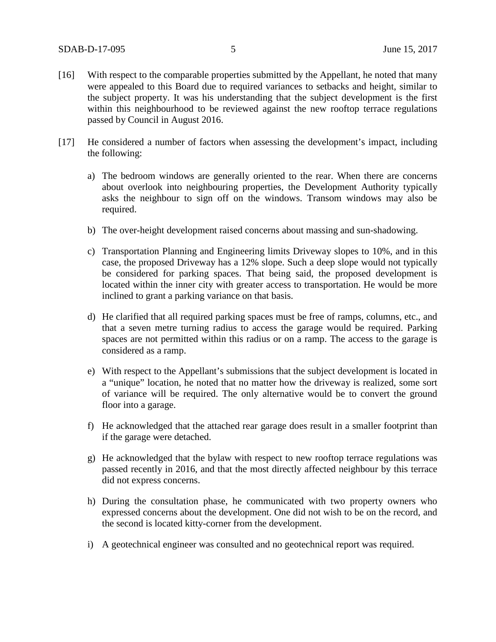- [16] With respect to the comparable properties submitted by the Appellant, he noted that many were appealed to this Board due to required variances to setbacks and height, similar to the subject property. It was his understanding that the subject development is the first within this neighbourhood to be reviewed against the new rooftop terrace regulations passed by Council in August 2016.
- [17] He considered a number of factors when assessing the development's impact, including the following:
	- a) The bedroom windows are generally oriented to the rear. When there are concerns about overlook into neighbouring properties, the Development Authority typically asks the neighbour to sign off on the windows. Transom windows may also be required.
	- b) The over-height development raised concerns about massing and sun-shadowing.
	- c) Transportation Planning and Engineering limits Driveway slopes to 10%, and in this case, the proposed Driveway has a 12% slope. Such a deep slope would not typically be considered for parking spaces. That being said, the proposed development is located within the inner city with greater access to transportation. He would be more inclined to grant a parking variance on that basis.
	- d) He clarified that all required parking spaces must be free of ramps, columns, etc., and that a seven metre turning radius to access the garage would be required. Parking spaces are not permitted within this radius or on a ramp. The access to the garage is considered as a ramp.
	- e) With respect to the Appellant's submissions that the subject development is located in a "unique" location, he noted that no matter how the driveway is realized, some sort of variance will be required. The only alternative would be to convert the ground floor into a garage.
	- f) He acknowledged that the attached rear garage does result in a smaller footprint than if the garage were detached.
	- g) He acknowledged that the bylaw with respect to new rooftop terrace regulations was passed recently in 2016, and that the most directly affected neighbour by this terrace did not express concerns.
	- h) During the consultation phase, he communicated with two property owners who expressed concerns about the development. One did not wish to be on the record, and the second is located kitty-corner from the development.
	- i) A geotechnical engineer was consulted and no geotechnical report was required.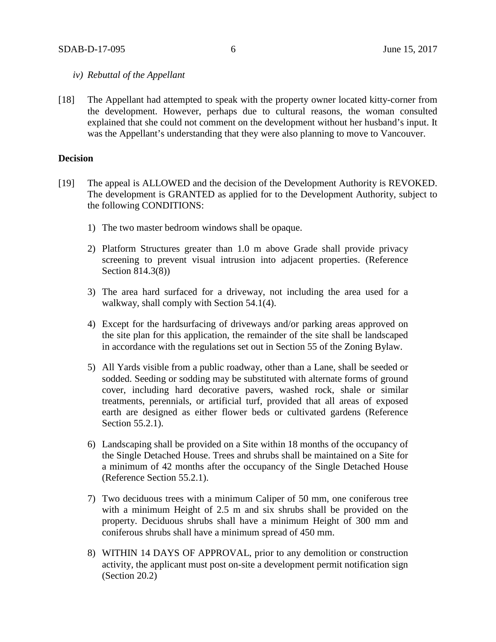## *iv) Rebuttal of the Appellant*

[18] The Appellant had attempted to speak with the property owner located kitty-corner from the development. However, perhaps due to cultural reasons, the woman consulted explained that she could not comment on the development without her husband's input. It was the Appellant's understanding that they were also planning to move to Vancouver.

#### **Decision**

- [19] The appeal is ALLOWED and the decision of the Development Authority is REVOKED. The development is GRANTED as applied for to the Development Authority, subject to the following CONDITIONS:
	- 1) The two master bedroom windows shall be opaque.
	- 2) Platform Structures greater than 1.0 m above Grade shall provide privacy screening to prevent visual intrusion into adjacent properties. (Reference Section 814.3(8))
	- 3) The area hard surfaced for a driveway, not including the area used for a walkway, shall comply with Section 54.1(4).
	- 4) Except for the hardsurfacing of driveways and/or parking areas approved on the site plan for this application, the remainder of the site shall be landscaped in accordance with the regulations set out in Section 55 of the Zoning Bylaw.
	- 5) All Yards visible from a public roadway, other than a Lane, shall be seeded or sodded. Seeding or sodding may be substituted with alternate forms of ground cover, including hard decorative pavers, washed rock, shale or similar treatments, perennials, or artificial turf, provided that all areas of exposed earth are designed as either flower beds or cultivated gardens (Reference Section 55.2.1).
	- 6) Landscaping shall be provided on a Site within 18 months of the occupancy of the Single Detached House. Trees and shrubs shall be maintained on a Site for a minimum of 42 months after the occupancy of the Single Detached House (Reference Section 55.2.1).
	- 7) Two deciduous trees with a minimum Caliper of 50 mm, one coniferous tree with a minimum Height of 2.5 m and six shrubs shall be provided on the property. Deciduous shrubs shall have a minimum Height of 300 mm and coniferous shrubs shall have a minimum spread of 450 mm.
	- 8) WITHIN 14 DAYS OF APPROVAL, prior to any demolition or construction activity, the applicant must post on-site a development permit notification sign (Section 20.2)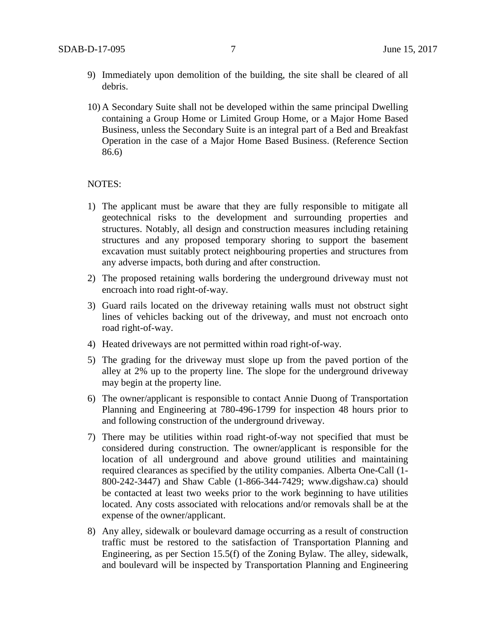- 9) Immediately upon demolition of the building, the site shall be cleared of all debris.
- 10) A Secondary Suite shall not be developed within the same principal Dwelling containing a Group Home or Limited Group Home, or a Major Home Based Business, unless the Secondary Suite is an integral part of a Bed and Breakfast Operation in the case of a Major Home Based Business. (Reference Section 86.6)

#### NOTES:

- 1) The applicant must be aware that they are fully responsible to mitigate all geotechnical risks to the development and surrounding properties and structures. Notably, all design and construction measures including retaining structures and any proposed temporary shoring to support the basement excavation must suitably protect neighbouring properties and structures from any adverse impacts, both during and after construction.
- 2) The proposed retaining walls bordering the underground driveway must not encroach into road right-of-way.
- 3) Guard rails located on the driveway retaining walls must not obstruct sight lines of vehicles backing out of the driveway, and must not encroach onto road right-of-way.
- 4) Heated driveways are not permitted within road right-of-way.
- 5) The grading for the driveway must slope up from the paved portion of the alley at 2% up to the property line. The slope for the underground driveway may begin at the property line.
- 6) The owner/applicant is responsible to contact Annie Duong of Transportation Planning and Engineering at 780-496-1799 for inspection 48 hours prior to and following construction of the underground driveway.
- 7) There may be utilities within road right-of-way not specified that must be considered during construction. The owner/applicant is responsible for the location of all underground and above ground utilities and maintaining required clearances as specified by the utility companies. Alberta One-Call (1- 800-242-3447) and Shaw Cable (1-866-344-7429; www.digshaw.ca) should be contacted at least two weeks prior to the work beginning to have utilities located. Any costs associated with relocations and/or removals shall be at the expense of the owner/applicant.
- 8) Any alley, sidewalk or boulevard damage occurring as a result of construction traffic must be restored to the satisfaction of Transportation Planning and Engineering, as per Section 15.5(f) of the Zoning Bylaw. The alley, sidewalk, and boulevard will be inspected by Transportation Planning and Engineering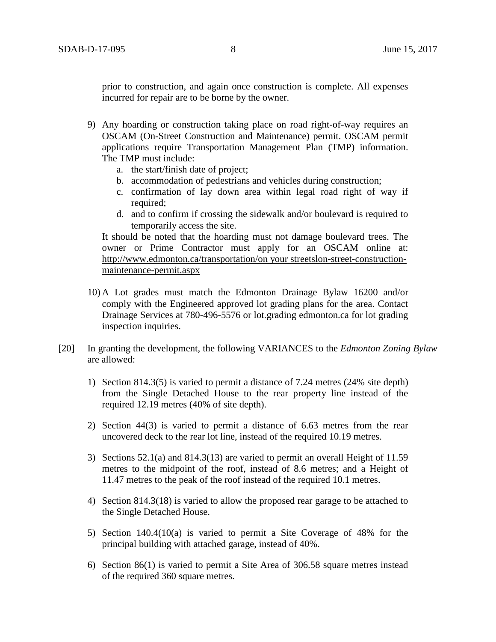prior to construction, and again once construction is complete. All expenses incurred for repair are to be borne by the owner.

- 9) Any hoarding or construction taking place on road right-of-way requires an OSCAM (On-Street Construction and Maintenance) permit. OSCAM permit applications require Transportation Management Plan (TMP) information. The TMP must include:
	- a. the start/finish date of project;
	- b. accommodation of pedestrians and vehicles during construction;
	- c. confirmation of lay down area within legal road right of way if required:
	- d. and to confirm if crossing the sidewalk and/or boulevard is required to temporarily access the site.

It should be noted that the hoarding must not damage boulevard trees. The owner or Prime Contractor must apply for an OSCAM online at: http://www.edmonton.ca/transportation/on your streetslon-street-constructionmaintenance-permit.aspx

- 10) A Lot grades must match the Edmonton Drainage Bylaw 16200 and/or comply with the Engineered approved lot grading plans for the area. Contact Drainage Services at 780-496-5576 or lot.grading edmonton.ca for lot grading inspection inquiries.
- [20] In granting the development, the following VARIANCES to the *Edmonton Zoning Bylaw* are allowed:
	- 1) Section 814.3(5) is varied to permit a distance of 7.24 metres (24% site depth) from the Single Detached House to the rear property line instead of the required 12.19 metres (40% of site depth).
	- 2) Section 44(3) is varied to permit a distance of 6.63 metres from the rear uncovered deck to the rear lot line, instead of the required 10.19 metres.
	- 3) Sections 52.1(a) and 814.3(13) are varied to permit an overall Height of 11.59 metres to the midpoint of the roof, instead of 8.6 metres; and a Height of 11.47 metres to the peak of the roof instead of the required 10.1 metres.
	- 4) Section 814.3(18) is varied to allow the proposed rear garage to be attached to the Single Detached House.
	- 5) Section 140.4(10(a) is varied to permit a Site Coverage of 48% for the principal building with attached garage, instead of 40%.
	- 6) Section 86(1) is varied to permit a Site Area of 306.58 square metres instead of the required 360 square metres.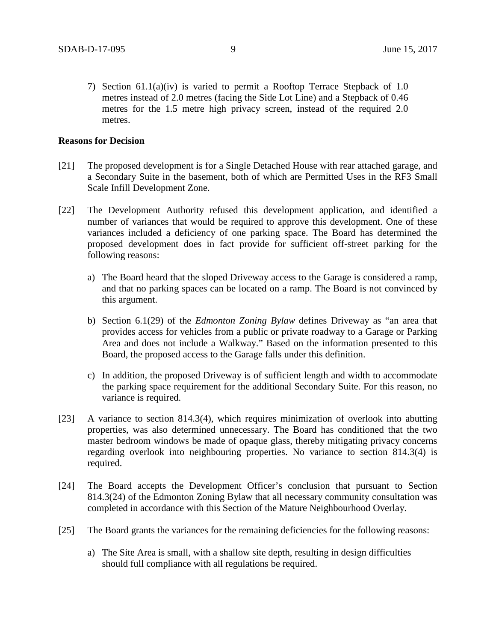7) Section 61.1(a)(iv) is varied to permit a Rooftop Terrace Stepback of 1.0 metres instead of 2.0 metres (facing the Side Lot Line) and a Stepback of 0.46 metres for the 1.5 metre high privacy screen, instead of the required 2.0 metres.

#### **Reasons for Decision**

- [21] The proposed development is for a Single Detached House with rear attached garage, and a Secondary Suite in the basement, both of which are Permitted Uses in the RF3 Small Scale Infill Development Zone.
- [22] The Development Authority refused this development application, and identified a number of variances that would be required to approve this development. One of these variances included a deficiency of one parking space. The Board has determined the proposed development does in fact provide for sufficient off-street parking for the following reasons:
	- a) The Board heard that the sloped Driveway access to the Garage is considered a ramp, and that no parking spaces can be located on a ramp. The Board is not convinced by this argument.
	- b) Section 6.1(29) of the *Edmonton Zoning Bylaw* defines Driveway as "an area that provides access for vehicles from a public or private roadway to a Garage or Parking Area and does not include a Walkway." Based on the information presented to this Board, the proposed access to the Garage falls under this definition.
	- c) In addition, the proposed Driveway is of sufficient length and width to accommodate the parking space requirement for the additional Secondary Suite. For this reason, no variance is required.
- [23] A variance to section 814.3(4), which requires minimization of overlook into abutting properties, was also determined unnecessary. The Board has conditioned that the two master bedroom windows be made of opaque glass, thereby mitigating privacy concerns regarding overlook into neighbouring properties. No variance to section 814.3(4) is required.
- [24] The Board accepts the Development Officer's conclusion that pursuant to Section 814.3(24) of the Edmonton Zoning Bylaw that all necessary community consultation was completed in accordance with this Section of the Mature Neighbourhood Overlay.
- [25] The Board grants the variances for the remaining deficiencies for the following reasons:
	- a) The Site Area is small, with a shallow site depth, resulting in design difficulties should full compliance with all regulations be required.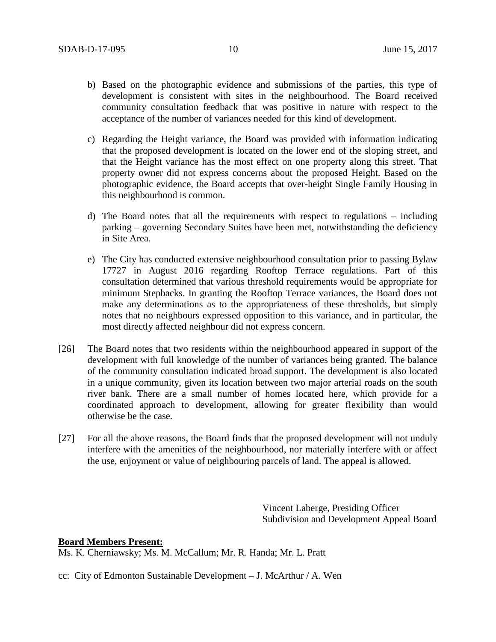- b) Based on the photographic evidence and submissions of the parties, this type of development is consistent with sites in the neighbourhood. The Board received community consultation feedback that was positive in nature with respect to the acceptance of the number of variances needed for this kind of development.
- c) Regarding the Height variance, the Board was provided with information indicating that the proposed development is located on the lower end of the sloping street, and that the Height variance has the most effect on one property along this street. That property owner did not express concerns about the proposed Height. Based on the photographic evidence, the Board accepts that over-height Single Family Housing in this neighbourhood is common.
- d) The Board notes that all the requirements with respect to regulations including parking – governing Secondary Suites have been met, notwithstanding the deficiency in Site Area.
- e) The City has conducted extensive neighbourhood consultation prior to passing Bylaw 17727 in August 2016 regarding Rooftop Terrace regulations. Part of this consultation determined that various threshold requirements would be appropriate for minimum Stepbacks. In granting the Rooftop Terrace variances, the Board does not make any determinations as to the appropriateness of these thresholds, but simply notes that no neighbours expressed opposition to this variance, and in particular, the most directly affected neighbour did not express concern.
- [26] The Board notes that two residents within the neighbourhood appeared in support of the development with full knowledge of the number of variances being granted. The balance of the community consultation indicated broad support. The development is also located in a unique community, given its location between two major arterial roads on the south river bank. There are a small number of homes located here, which provide for a coordinated approach to development, allowing for greater flexibility than would otherwise be the case.
- [27] For all the above reasons, the Board finds that the proposed development will not unduly interfere with the amenities of the neighbourhood, nor materially interfere with or affect the use, enjoyment or value of neighbouring parcels of land. The appeal is allowed.

Vincent Laberge, Presiding Officer Subdivision and Development Appeal Board

## **Board Members Present:**

Ms. K. Cherniawsky; Ms. M. McCallum; Mr. R. Handa; Mr. L. Pratt

cc: City of Edmonton Sustainable Development – J. McArthur / A. Wen